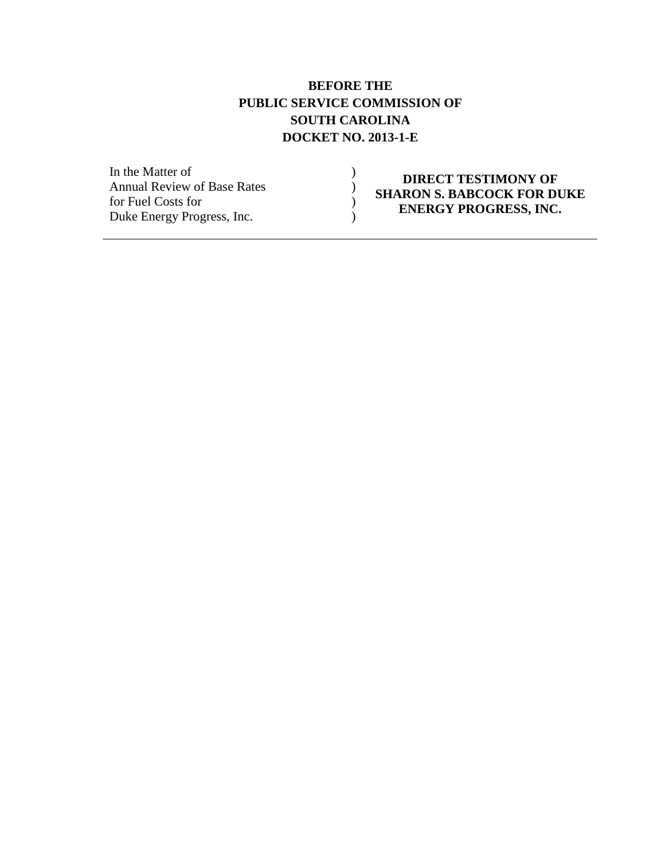#### **BEFORE THE PUBLIC SERVICE COMMISSION OF SOUTH CAROLINA DOCKET NO. 2013-1-E**

 $\mathcal{L}$ ) )  $\overline{)}$ 

In the Matter of Annual Review of Base Rates for Fuel Costs for Duke Energy Progress, Inc.

#### **DIRECT TESTIMONY OF SHARON S. BABCOCK FOR DUKE ENERGY PROGRESS, INC.**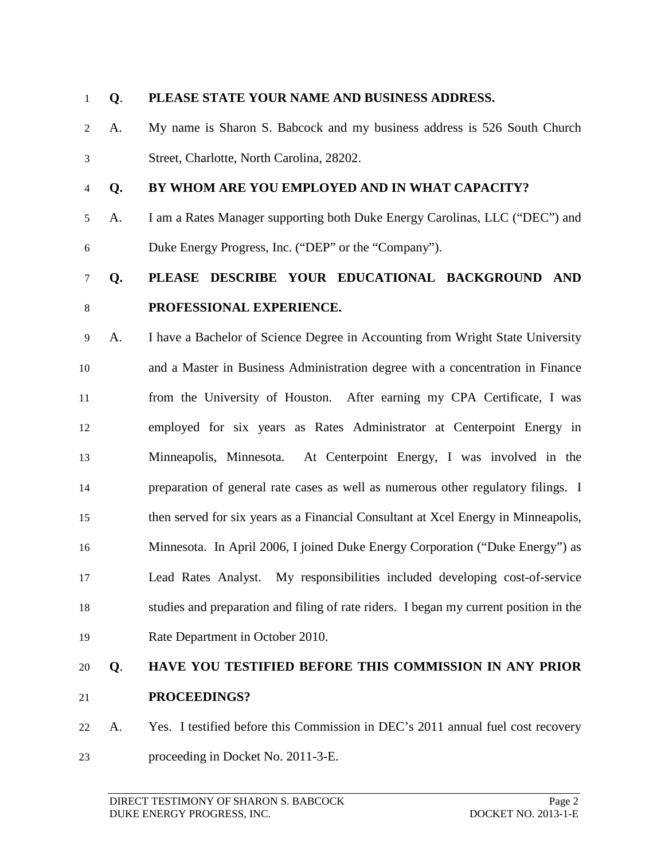#### **Q**. **PLEASE STATE YOUR NAME AND BUSINESS ADDRESS.**

- A. My name is Sharon S. Babcock and my business address is 526 South Church Street, Charlotte, North Carolina, 28202.
- 

#### **Q. BY WHOM ARE YOU EMPLOYED AND IN WHAT CAPACITY?**

 A. I am a Rates Manager supporting both Duke Energy Carolinas, LLC ("DEC") and Duke Energy Progress, Inc. ("DEP" or the "Company").

# **Q. PLEASE DESCRIBE YOUR EDUCATIONAL BACKGROUND AND**

 A. I have a Bachelor of Science Degree in Accounting from Wright State University and a Master in Business Administration degree with a concentration in Finance from the University of Houston. After earning my CPA Certificate, I was employed for six years as Rates Administrator at Centerpoint Energy in Minneapolis, Minnesota. At Centerpoint Energy, I was involved in the preparation of general rate cases as well as numerous other regulatory filings. I then served for six years as a Financial Consultant at Xcel Energy in Minneapolis, Minnesota. In April 2006, I joined Duke Energy Corporation ("Duke Energy") as Lead Rates Analyst. My responsibilities included developing cost-of-service studies and preparation and filing of rate riders. I began my current position in the Rate Department in October 2010.

### **Q**. **HAVE YOU TESTIFIED BEFORE THIS COMMISSION IN ANY PRIOR PROCEEDINGS?**

 A. Yes. I testified before this Commission in DEC's 2011 annual fuel cost recovery proceeding in Docket No. 2011-3-E.

**PROFESSIONAL EXPERIENCE.**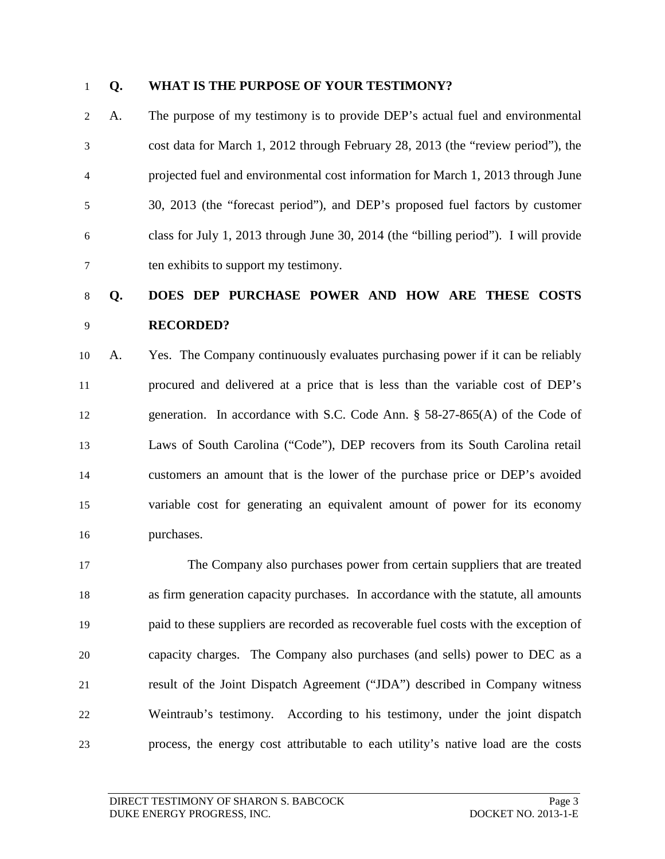#### **Q. WHAT IS THE PURPOSE OF YOUR TESTIMONY?**

 A. The purpose of my testimony is to provide DEP's actual fuel and environmental cost data for March 1, 2012 through February 28, 2013 (the "review period"), the projected fuel and environmental cost information for March 1, 2013 through June 30, 2013 (the "forecast period"), and DEP's proposed fuel factors by customer class for July 1, 2013 through June 30, 2014 (the "billing period"). I will provide ten exhibits to support my testimony.

# **Q. DOES DEP PURCHASE POWER AND HOW ARE THESE COSTS RECORDED?**

 A. Yes. The Company continuously evaluates purchasing power if it can be reliably procured and delivered at a price that is less than the variable cost of DEP's generation. In accordance with S.C. Code Ann. § 58-27-865(A) of the Code of Laws of South Carolina ("Code"), DEP recovers from its South Carolina retail customers an amount that is the lower of the purchase price or DEP's avoided variable cost for generating an equivalent amount of power for its economy purchases.

 The Company also purchases power from certain suppliers that are treated as firm generation capacity purchases. In accordance with the statute, all amounts paid to these suppliers are recorded as recoverable fuel costs with the exception of capacity charges. The Company also purchases (and sells) power to DEC as a result of the Joint Dispatch Agreement ("JDA") described in Company witness Weintraub's testimony. According to his testimony, under the joint dispatch process, the energy cost attributable to each utility's native load are the costs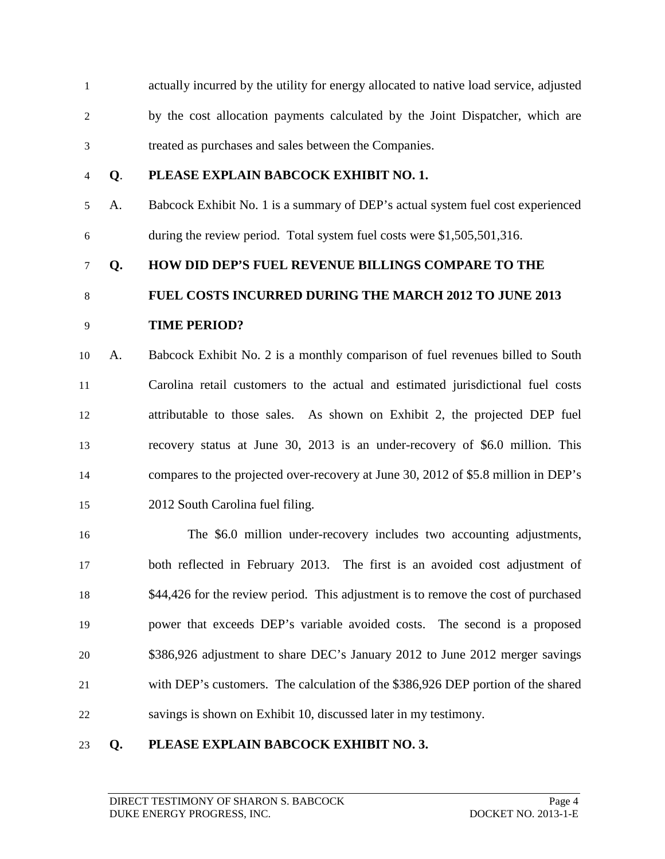actually incurred by the utility for energy allocated to native load service, adjusted by the cost allocation payments calculated by the Joint Dispatcher, which are treated as purchases and sales between the Companies.

#### **Q**. **PLEASE EXPLAIN BABCOCK EXHIBIT NO. 1.**

 A. Babcock Exhibit No. 1 is a summary of DEP's actual system fuel cost experienced during the review period. Total system fuel costs were \$1,505,501,316.

#### **Q. HOW DID DEP'S FUEL REVENUE BILLINGS COMPARE TO THE**

#### **FUEL COSTS INCURRED DURING THE MARCH 2012 TO JUNE 2013**

#### **TIME PERIOD?**

 A. Babcock Exhibit No. 2 is a monthly comparison of fuel revenues billed to South Carolina retail customers to the actual and estimated jurisdictional fuel costs attributable to those sales. As shown on Exhibit 2, the projected DEP fuel recovery status at June 30, 2013 is an under-recovery of \$6.0 million. This compares to the projected over-recovery at June 30, 2012 of \$5.8 million in DEP's 2012 South Carolina fuel filing.

 The \$6.0 million under-recovery includes two accounting adjustments, both reflected in February 2013. The first is an avoided cost adjustment of 18 \$44,426 for the review period. This adjustment is to remove the cost of purchased power that exceeds DEP's variable avoided costs. The second is a proposed \$386,926 adjustment to share DEC's January 2012 to June 2012 merger savings with DEP's customers. The calculation of the \$386,926 DEP portion of the shared savings is shown on Exhibit 10, discussed later in my testimony.

#### **Q. PLEASE EXPLAIN BABCOCK EXHIBIT NO. 3.**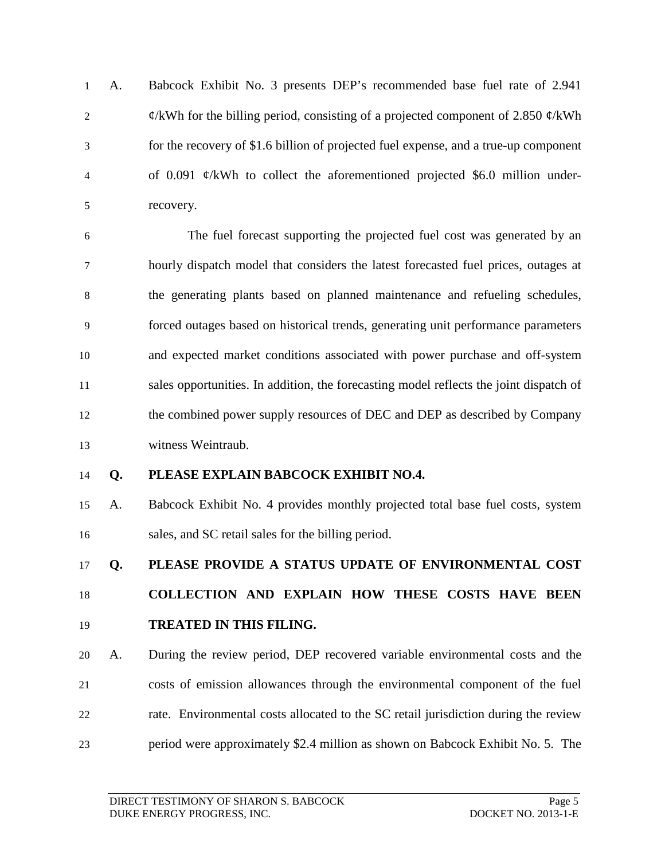A. Babcock Exhibit No. 3 presents DEP's recommended base fuel rate of 2.941  $\phi$ /kWh for the billing period, consisting of a projected component of 2.850  $\phi$ /kWh for the recovery of \$1.6 billion of projected fuel expense, and a true-up component of 0.091 ¢/kWh to collect the aforementioned projected \$6.0 million under-recovery.

 The fuel forecast supporting the projected fuel cost was generated by an hourly dispatch model that considers the latest forecasted fuel prices, outages at the generating plants based on planned maintenance and refueling schedules, forced outages based on historical trends, generating unit performance parameters and expected market conditions associated with power purchase and off-system sales opportunities. In addition, the forecasting model reflects the joint dispatch of the combined power supply resources of DEC and DEP as described by Company witness Weintraub.

#### **Q. PLEASE EXPLAIN BABCOCK EXHIBIT NO.4.**

 A. Babcock Exhibit No. 4 provides monthly projected total base fuel costs, system sales, and SC retail sales for the billing period.

 **Q. PLEASE PROVIDE A STATUS UPDATE OF ENVIRONMENTAL COST COLLECTION AND EXPLAIN HOW THESE COSTS HAVE BEEN TREATED IN THIS FILING.**

 A. During the review period, DEP recovered variable environmental costs and the costs of emission allowances through the environmental component of the fuel rate. Environmental costs allocated to the SC retail jurisdiction during the review period were approximately \$2.4 million as shown on Babcock Exhibit No. 5. The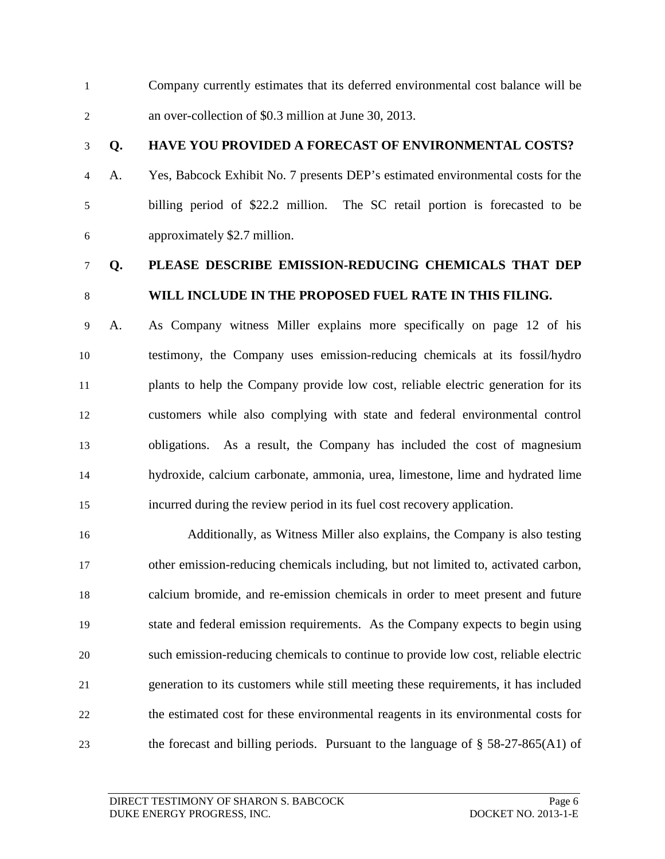Company currently estimates that its deferred environmental cost balance will be an over-collection of \$0.3 million at June 30, 2013.

#### **Q. HAVE YOU PROVIDED A FORECAST OF ENVIRONMENTAL COSTS?**

 A. Yes, Babcock Exhibit No. 7 presents DEP's estimated environmental costs for the billing period of \$22.2 million. The SC retail portion is forecasted to be approximately \$2.7 million.

### **Q. PLEASE DESCRIBE EMISSION-REDUCING CHEMICALS THAT DEP WILL INCLUDE IN THE PROPOSED FUEL RATE IN THIS FILING.**

- A. As Company witness Miller explains more specifically on page 12 of his testimony, the Company uses emission-reducing chemicals at its fossil/hydro plants to help the Company provide low cost, reliable electric generation for its customers while also complying with state and federal environmental control obligations. As a result, the Company has included the cost of magnesium hydroxide, calcium carbonate, ammonia, urea, limestone, lime and hydrated lime incurred during the review period in its fuel cost recovery application.
- Additionally, as Witness Miller also explains, the Company is also testing other emission-reducing chemicals including, but not limited to, activated carbon, calcium bromide, and re-emission chemicals in order to meet present and future state and federal emission requirements. As the Company expects to begin using such emission-reducing chemicals to continue to provide low cost, reliable electric generation to its customers while still meeting these requirements, it has included the estimated cost for these environmental reagents in its environmental costs for the forecast and billing periods. Pursuant to the language of § 58-27-865(A1) of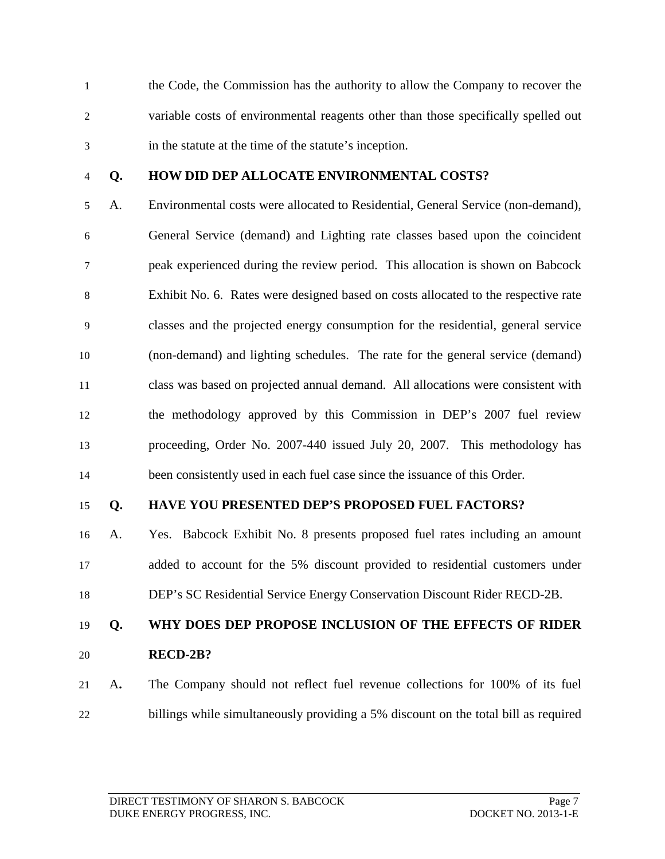the Code, the Commission has the authority to allow the Company to recover the variable costs of environmental reagents other than those specifically spelled out in the statute at the time of the statute's inception.

#### **Q. HOW DID DEP ALLOCATE ENVIRONMENTAL COSTS?**

 A. Environmental costs were allocated to Residential, General Service (non-demand), General Service (demand) and Lighting rate classes based upon the coincident peak experienced during the review period. This allocation is shown on Babcock Exhibit No. 6. Rates were designed based on costs allocated to the respective rate classes and the projected energy consumption for the residential, general service (non-demand) and lighting schedules. The rate for the general service (demand) class was based on projected annual demand. All allocations were consistent with the methodology approved by this Commission in DEP's 2007 fuel review proceeding, Order No. 2007-440 issued July 20, 2007. This methodology has been consistently used in each fuel case since the issuance of this Order.

#### **Q. HAVE YOU PRESENTED DEP'S PROPOSED FUEL FACTORS?**

 A. Yes. Babcock Exhibit No. 8 presents proposed fuel rates including an amount added to account for the 5% discount provided to residential customers under DEP's SC Residential Service Energy Conservation Discount Rider RECD-2B.

**Q. WHY DOES DEP PROPOSE INCLUSION OF THE EFFECTS OF RIDER** 

- **RECD-2B?**
- A**.** The Company should not reflect fuel revenue collections for 100% of its fuel billings while simultaneously providing a 5% discount on the total bill as required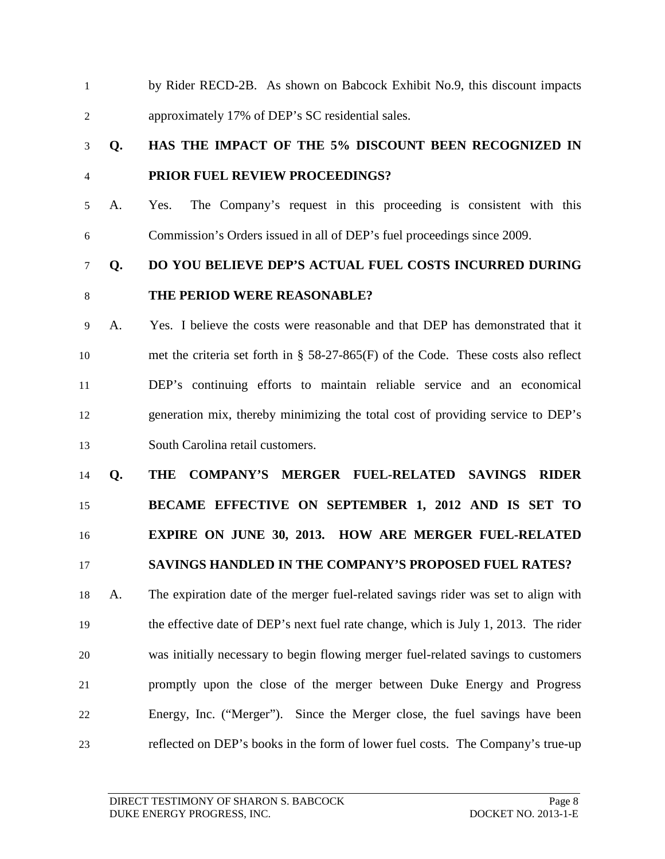by Rider RECD-2B. As shown on Babcock Exhibit No.9, this discount impacts approximately 17% of DEP's SC residential sales.

# **Q. HAS THE IMPACT OF THE 5% DISCOUNT BEEN RECOGNIZED IN PRIOR FUEL REVIEW PROCEEDINGS?**

 A. Yes. The Company's request in this proceeding is consistent with this Commission's Orders issued in all of DEP's fuel proceedings since 2009.

# **Q. DO YOU BELIEVE DEP'S ACTUAL FUEL COSTS INCURRED DURING THE PERIOD WERE REASONABLE?**

 A. Yes. I believe the costs were reasonable and that DEP has demonstrated that it met the criteria set forth in § 58-27-865(F) of the Code. These costs also reflect DEP's continuing efforts to maintain reliable service and an economical generation mix, thereby minimizing the total cost of providing service to DEP's South Carolina retail customers.

#### **Q. THE COMPANY'S MERGER FUEL-RELATED SAVINGS RIDER**

**BECAME EFFECTIVE ON SEPTEMBER 1, 2012 AND IS SET TO** 

# **EXPIRE ON JUNE 30, 2013. HOW ARE MERGER FUEL-RELATED**

#### **SAVINGS HANDLED IN THE COMPANY'S PROPOSED FUEL RATES?**

 A. The expiration date of the merger fuel-related savings rider was set to align with the effective date of DEP's next fuel rate change, which is July 1, 2013. The rider was initially necessary to begin flowing merger fuel-related savings to customers promptly upon the close of the merger between Duke Energy and Progress Energy, Inc. ("Merger"). Since the Merger close, the fuel savings have been reflected on DEP's books in the form of lower fuel costs. The Company's true-up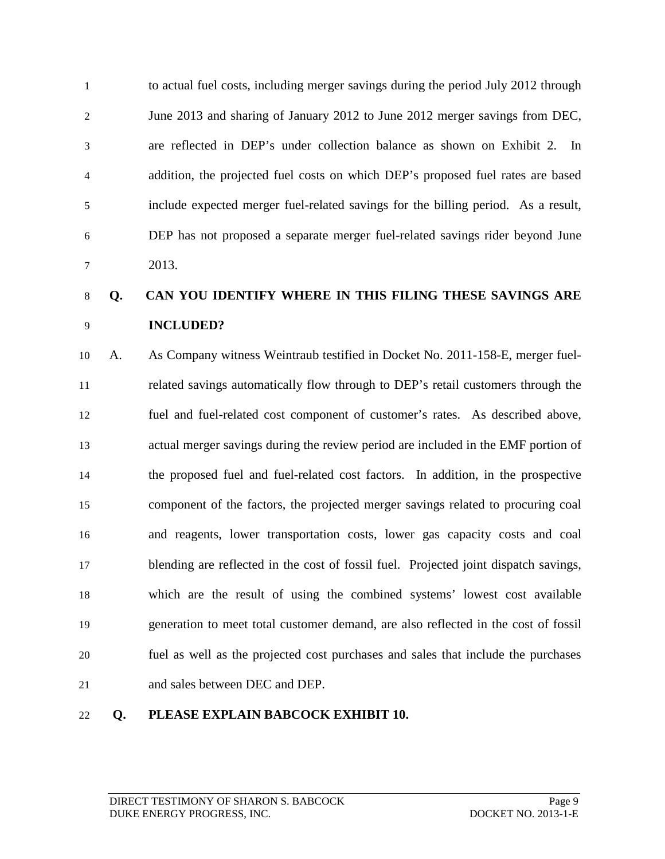to actual fuel costs, including merger savings during the period July 2012 through June 2013 and sharing of January 2012 to June 2012 merger savings from DEC, are reflected in DEP's under collection balance as shown on Exhibit 2. In addition, the projected fuel costs on which DEP's proposed fuel rates are based include expected merger fuel-related savings for the billing period. As a result, DEP has not proposed a separate merger fuel-related savings rider beyond June 2013.

# **Q. CAN YOU IDENTIFY WHERE IN THIS FILING THESE SAVINGS ARE INCLUDED?**

 A. As Company witness Weintraub testified in Docket No. 2011-158-E, merger fuel- related savings automatically flow through to DEP's retail customers through the fuel and fuel-related cost component of customer's rates. As described above, actual merger savings during the review period are included in the EMF portion of the proposed fuel and fuel-related cost factors. In addition, in the prospective component of the factors, the projected merger savings related to procuring coal and reagents, lower transportation costs, lower gas capacity costs and coal blending are reflected in the cost of fossil fuel. Projected joint dispatch savings, which are the result of using the combined systems' lowest cost available generation to meet total customer demand, are also reflected in the cost of fossil fuel as well as the projected cost purchases and sales that include the purchases and sales between DEC and DEP.

#### **Q. PLEASE EXPLAIN BABCOCK EXHIBIT 10.**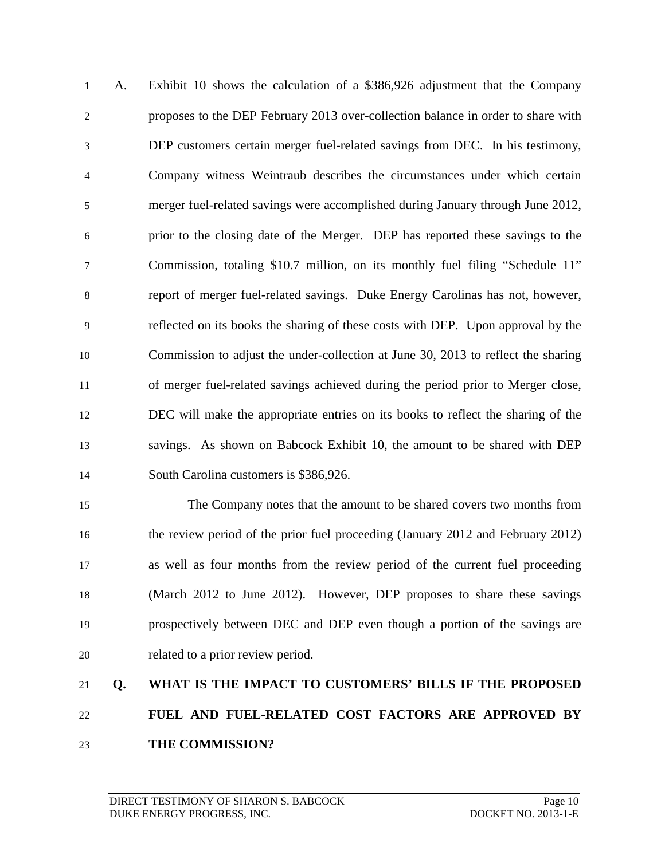A. Exhibit 10 shows the calculation of a \$386,926 adjustment that the Company proposes to the DEP February 2013 over-collection balance in order to share with DEP customers certain merger fuel-related savings from DEC. In his testimony, Company witness Weintraub describes the circumstances under which certain merger fuel-related savings were accomplished during January through June 2012, prior to the closing date of the Merger. DEP has reported these savings to the Commission, totaling \$10.7 million, on its monthly fuel filing "Schedule 11" report of merger fuel-related savings. Duke Energy Carolinas has not, however, reflected on its books the sharing of these costs with DEP. Upon approval by the Commission to adjust the under-collection at June 30, 2013 to reflect the sharing of merger fuel-related savings achieved during the period prior to Merger close, DEC will make the appropriate entries on its books to reflect the sharing of the savings. As shown on Babcock Exhibit 10, the amount to be shared with DEP South Carolina customers is \$386,926.

 The Company notes that the amount to be shared covers two months from the review period of the prior fuel proceeding (January 2012 and February 2012) as well as four months from the review period of the current fuel proceeding (March 2012 to June 2012). However, DEP proposes to share these savings prospectively between DEC and DEP even though a portion of the savings are related to a prior review period.

# **Q. WHAT IS THE IMPACT TO CUSTOMERS' BILLS IF THE PROPOSED FUEL AND FUEL-RELATED COST FACTORS ARE APPROVED BY THE COMMISSION?**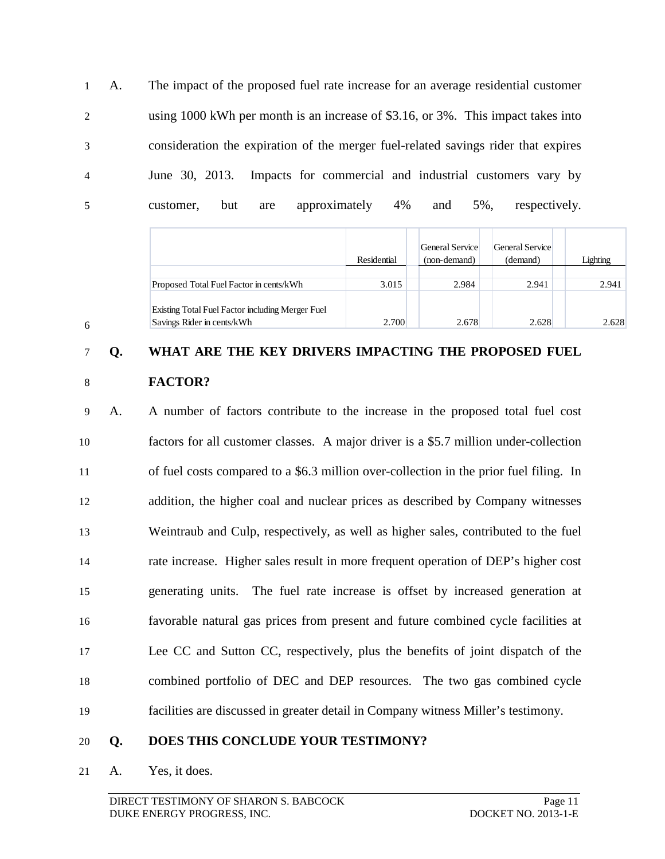A. The impact of the proposed fuel rate increase for an average residential customer using 1000 kWh per month is an increase of \$3.16, or 3%. This impact takes into consideration the expiration of the merger fuel-related savings rider that expires June 30, 2013. Impacts for commercial and industrial customers vary by customer, but are approximately 4% and 5%, respectively.

|                                                                                | Residential | General Service<br>(non-demand) | General Service<br>(demand) | Lighting |
|--------------------------------------------------------------------------------|-------------|---------------------------------|-----------------------------|----------|
| Proposed Total Fuel Factor in cents/kWh                                        | 3.015       | 2.984                           | 2.941                       | 2.941    |
| Existing Total Fuel Factor including Merger Fuel<br>Savings Rider in cents/kWh | 2.700       | 2.678                           | 2.628                       | 2.628    |

### **Q. WHAT ARE THE KEY DRIVERS IMPACTING THE PROPOSED FUEL**

**FACTOR?**

 A. A number of factors contribute to the increase in the proposed total fuel cost factors for all customer classes. A major driver is a \$5.7 million under-collection of fuel costs compared to a \$6.3 million over-collection in the prior fuel filing. In addition, the higher coal and nuclear prices as described by Company witnesses Weintraub and Culp, respectively, as well as higher sales, contributed to the fuel rate increase. Higher sales result in more frequent operation of DEP's higher cost generating units. The fuel rate increase is offset by increased generation at favorable natural gas prices from present and future combined cycle facilities at Lee CC and Sutton CC, respectively, plus the benefits of joint dispatch of the combined portfolio of DEC and DEP resources. The two gas combined cycle facilities are discussed in greater detail in Company witness Miller's testimony.

#### **Q. DOES THIS CONCLUDE YOUR TESTIMONY?**

A. Yes, it does.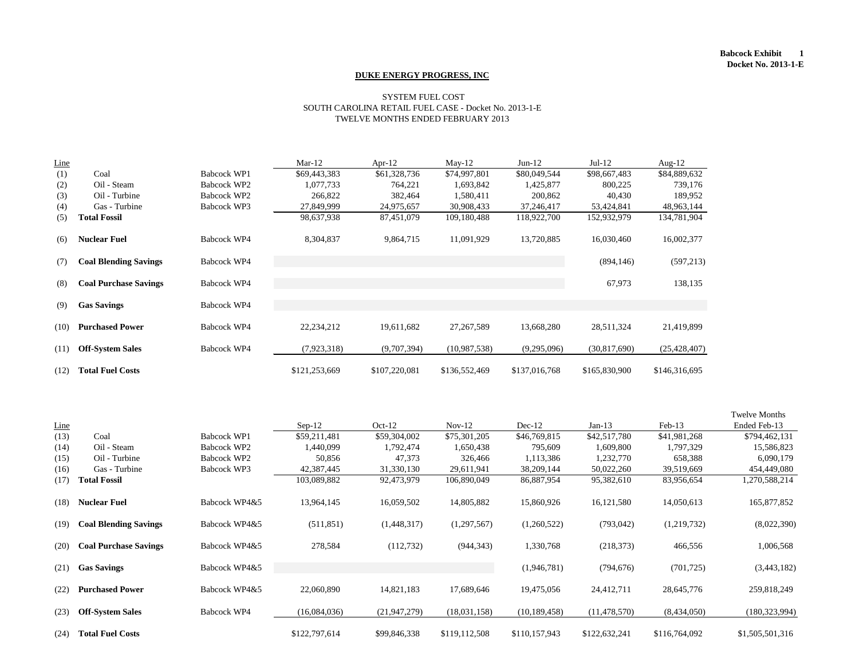#### **Babcock Exhibit 1 Docket No. 2013-1-E**

| Line |                              |                    | Mar- $12$     | Apr- $12$     | $May-12$      | $Jun-12$      | $Jul-12$       | Aug- $12$      |
|------|------------------------------|--------------------|---------------|---------------|---------------|---------------|----------------|----------------|
| (1)  | Coal                         | <b>Babcock WP1</b> | \$69,443,383  | \$61,328,736  | \$74,997,801  | \$80,049,544  | \$98,667,483   | \$84,889,632   |
| (2)  | Oil - Steam                  | Babcock WP2        | 1,077,733     | 764,221       | 1,693,842     | 1,425,877     | 800,225        | 739,176        |
| (3)  | Oil - Turbine                | Babcock WP2        | 266,822       | 382,464       | 1,580,411     | 200,862       | 40,430         | 189,952        |
| (4)  | Gas - Turbine                | Babcock WP3        | 27,849,999    | 24,975,657    | 30,908,433    | 37,246,417    | 53,424,841     | 48,963,144     |
| (5)  | <b>Total Fossil</b>          |                    | 98,637,938    | 87,451,079    | 109,180,488   | 118,922,700   | 152,932,979    | 134,781,904    |
| (6)  | <b>Nuclear Fuel</b>          | <b>Babcock WP4</b> | 8,304,837     | 9,864,715     | 11,091,929    | 13,720,885    | 16,030,460     | 16,002,377     |
| (7)  | <b>Coal Blending Savings</b> | Babcock WP4        |               |               |               |               | (894, 146)     | (597, 213)     |
| (8)  | <b>Coal Purchase Savings</b> | Babcock WP4        |               |               |               |               | 67,973         | 138,135        |
| (9)  | <b>Gas Savings</b>           | Babcock WP4        |               |               |               |               |                |                |
| (10) | <b>Purchased Power</b>       | Babcock WP4        | 22,234,212    | 19,611,682    | 27, 267, 589  | 13,668,280    | 28,511,324     | 21,419,899     |
| (11) | <b>Off-System Sales</b>      | <b>Babcock WP4</b> | (7,923,318)   | (9,707,394)   | (10,987,538)  | (9,295,096)   | (30, 817, 690) | (25, 428, 407) |
| (12) | <b>Total Fuel Costs</b>      |                    | \$121,253,669 | \$107,220,081 | \$136,552,469 | \$137,016,768 | \$165,830,900  | \$146,316,695  |

|             |                              |               |               |                |               |                |                |               | <b>Twelve Months</b> |
|-------------|------------------------------|---------------|---------------|----------------|---------------|----------------|----------------|---------------|----------------------|
| <b>Line</b> |                              |               | $Sep-12$      | $Oct-12$       | $Nov-12$      | $Dec-12$       | $Jan-13$       | Feb-13        | Ended Feb-13         |
| (13)        | Coal                         | Babcock WP1   | \$59,211,481  | \$59,304,002   | \$75,301,205  | \$46,769,815   | \$42,517,780   | \$41,981,268  | \$794,462,131        |
| (14)        | Oil - Steam                  | Babcock WP2   | 1,440,099     | 1,792,474      | 1,650,438     | 795,609        | 1,609,800      | 1,797,329     | 15,586,823           |
| (15)        | Oil - Turbine                | Babcock WP2   | 50,856        | 47,373         | 326,466       | 1,113,386      | 1,232,770      | 658,388       | 6,090,179            |
| (16)        | Gas - Turbine                | Babcock WP3   | 42,387,445    | 31,330,130     | 29,611,941    | 38, 209, 144   | 50,022,260     | 39,519,669    | 454,449,080          |
| (17)        | <b>Total Fossil</b>          |               | 103,089,882   | 92,473,979     | 106,890,049   | 86,887,954     | 95,382,610     | 83,956,654    | 1,270,588,214        |
| (18)        | <b>Nuclear Fuel</b>          | Babcock WP4&5 | 13,964,145    | 16,059,502     | 14,805,882    | 15,860,926     | 16,121,580     | 14,050,613    | 165,877,852          |
| (19)        | <b>Coal Blending Savings</b> | Babcock WP4&5 | (511, 851)    | (1,448,317)    | (1,297,567)   | (1,260,522)    | (793, 042)     | (1,219,732)   | (8,022,390)          |
| (20)        | <b>Coal Purchase Savings</b> | Babcock WP4&5 | 278,584       | (112, 732)     | (944, 343)    | 1,330,768      | (218, 373)     | 466,556       | 1,006,568            |
| (21)        | <b>Gas Savings</b>           | Babcock WP4&5 |               |                |               | (1,946,781)    | (794, 676)     | (701, 725)    | (3,443,182)          |
| (22)        | <b>Purchased Power</b>       | Babcock WP4&5 | 22,060,890    | 14,821,183     | 17,689,646    | 19,475,056     | 24,412,711     | 28,645,776    | 259,818,249          |
| (23)        | <b>Off-System Sales</b>      | Babcock WP4   | (16,084,036)  | (21, 947, 279) | (18,031,158)  | (10, 189, 458) | (11, 478, 570) | (8,434,050)   | (180, 323, 994)      |
| (24)        | <b>Total Fuel Costs</b>      |               | \$122,797,614 | \$99,846,338   | \$119,112,508 | \$110,157,943  | \$122,632,241  | \$116,764,092 | \$1,505,501,316      |

#### **DUKE ENERGY PROGRESS, INC**

#### SYSTEM FUEL COST SOUTH CAROLINA RETAIL FUEL CASE - Docket No. 2013-1-E TWELVE MONTHS ENDED FEBRUARY 2013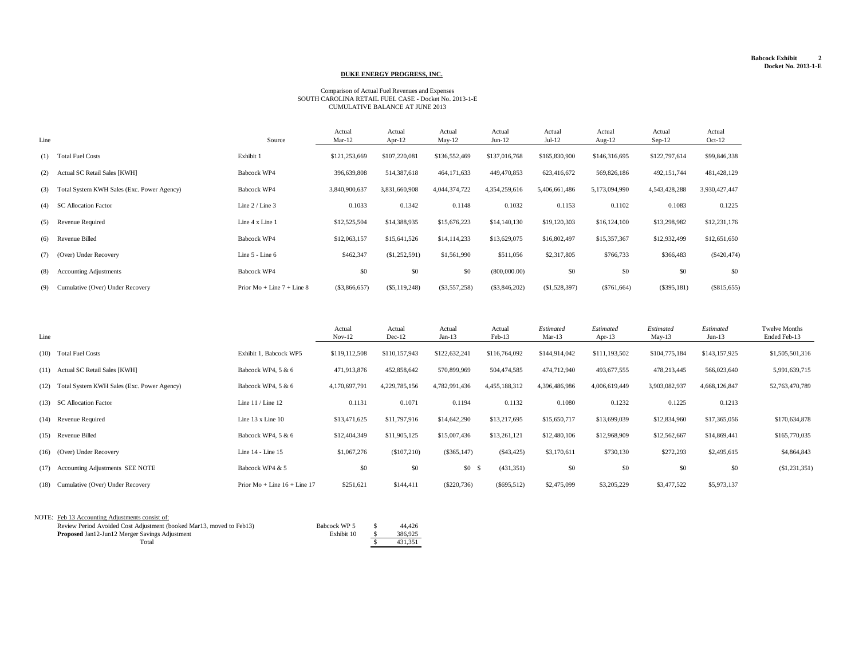#### **Babcock Exhibit 2 Docket No. 2013-1-E**

| Line |                                                | Source                       | Actual<br>Mar- $12$ | Actual<br>Apr-12 | Actual<br>May-12 | Actual<br>$Jun-12$ | Actual<br>$Jul-12$ | Actual<br>Aug- $12$ | Actual<br>$Sep-12$ | Actual<br>$Oct-12$ |
|------|------------------------------------------------|------------------------------|---------------------|------------------|------------------|--------------------|--------------------|---------------------|--------------------|--------------------|
|      | (1) Total Fuel Costs                           | Exhibit 1                    | \$121,253,669       | \$107,220,081    | \$136,552,469    | \$137,016,768      | \$165,830,900      | \$146,316,695       | \$122,797,614      | \$99,846,338       |
| (2)  | <b>Actual SC Retail Sales [KWH]</b>            | Babcock WP4                  | 396,639,808         | 514,387,618      | 464, 171, 633    | 449,470,853        | 623,416,672        | 569,826,186         | 492, 151, 744      | 481,428,129        |
|      | (3) Total System KWH Sales (Exc. Power Agency) | Babcock WP4                  | 3,840,900,637       | 3,831,660,908    | 4,044,374,722    | 4,354,259,616      | 5,406,661,486      | 5,173,094,990       | 4,543,428,288      | 3,930,427,447      |
| (4)  | <b>SC Allocation Factor</b>                    | Line $2 /$ Line $3$          | 0.1033              | 0.1342           | 0.1148           | 0.1032             | 0.1153             | 0.1102              | 0.1083             | 0.1225             |
| (5)  | Revenue Required                               | Line 4 x Line 1              | \$12,525,504        | \$14,388,935     | \$15,676,223     | \$14,140,130       | \$19,120,303       | \$16,124,100        | \$13,298,982       | \$12,231,176       |
|      | (6) Revenue Billed                             | <b>Babcock WP4</b>           | \$12,063,157        | \$15,641,526     | \$14,114,233     | \$13,629,075       | \$16,802,497       | \$15,357,367        | \$12,932,499       | \$12,651,650       |
| (7)  | (Over) Under Recovery                          | Line 5 - Line 6              | \$462,347           | (\$1,252,591)    | \$1,561,990      | \$511,056          | \$2,317,805        | \$766,733           | \$366,483          | $(\$420,474)$      |
| (8)  | <b>Accounting Adjustments</b>                  | Babcock WP4                  | \$0                 | \$0              | \$0              | (800,000.00)       | \$0                | \$0                 | \$0                | \$0                |
| (9)  | Cumulative (Over) Under Recovery               | Prior $Mo + Line 7 + Line 8$ | $(\$3,866,657)$     | $(\$5,119,248)$  | $(\$3,557,258)$  | $(\$3,846,202)$    | (\$1,528,397)      | $(\$761,664)$       | $(\$395,181)$      | $(\$815,655)$      |

| Line                                            |                                | Actual<br>$Nov-12$ | Actual<br>$Dec-12$ | Actual<br>Jan-13 | Actual<br>$Feb-13$ | Estimated<br>$Mar-13$ | <b>Estimated</b><br>Apr-13 | <b>Estimated</b><br>May-13 | Estimated<br>$Jun-13$ | <b>Twelve Months</b><br>Ended Feb-13 |
|-------------------------------------------------|--------------------------------|--------------------|--------------------|------------------|--------------------|-----------------------|----------------------------|----------------------------|-----------------------|--------------------------------------|
| (10) Total Fuel Costs                           | Exhibit 1, Babcock WP5         | \$119,112,508      | \$110,157,943      | \$122,632,241    | \$116,764,092      | \$144,914,042         | \$111,193,502              | \$104,775,184              | \$143,157,925         | \$1,505,501,316                      |
| (11) Actual SC Retail Sales [KWH]               | Babcock WP4, $5 & 6$           | 471,913,876        | 452,858,642        | 570,899,969      | 504,474,585        | 474,712,940           | 493,677,555                | 478,213,445                | 566,023,640           | 5,991,639,715                        |
| (12) Total System KWH Sales (Exc. Power Agency) | Babcock WP4, $5 & 6$           | 4,170,697,791      | 4,229,785,156      | 4,782,991,436    | 4,455,188,312      | 4,396,486,986         | 4,006,619,449              | 3,903,082,937              | 4,668,126,847         | 52,763,470,789                       |
| (13) SC Allocation Factor                       | Line $11 /$ Line $12$          | 0.1131             | 0.1071             | 0.1194           | 0.1132             | 0.1080                | 0.1232                     | 0.1225                     | 0.1213                |                                      |
| (14) Revenue Required                           | Line $13 \times$ Line $10$     | \$13,471,625       | \$11,797,916       | \$14,642,290     | \$13,217,695       | \$15,650,717          | \$13,699,039               | \$12,834,960               | \$17,365,056          | \$170,634,878                        |
| (15) Revenue Billed                             | Babcock WP4, $5 & 6$           | \$12,404,349       | \$11,905,125       | \$15,007,436     | \$13,261,121       | \$12,480,106          | \$12,968,909               | \$12,562,667               | \$14,869,441          | \$165,770,035                        |
| $(16)$ (Over) Under Recovery                    | Line 14 - Line 15              | \$1,067,276        | (\$107,210)        | $(\$365,147)$    | $(\$43,425)$       | \$3,170,611           | \$730,130                  | \$272,293                  | \$2,495,615           | \$4,864,843                          |
| (17) Accounting Adjustments SEE NOTE            | Babcock WP4 & 5                | \$0                | \$0                | $$0 \t$$         | (431,351)          | \$0                   | \$0                        | \$0                        | \$0                   | (\$1,231,351)                        |
| (18) Cumulative (Over) Under Recovery           | Prior $Mo + Line 16 + Line 17$ | \$251,621          | \$144,411          | $(\$220,736)$    | $(\$695,512)$      | \$2,475,099           | \$3,205,229                | \$3,477,522                | \$5,973,137           |                                      |

| NOTE: Feb 13 Accounting Adjustments consist of:                                      |         |
|--------------------------------------------------------------------------------------|---------|
| Review Period Avoided Cost Adjustment (booked Mar13, moved to Feb13)<br>Babcock WP 5 | 44,426  |
| Exhibit 10<br><b>Proposed Jan12-Jun12 Merger Savings Adjustment</b>                  | 386,925 |
| Total                                                                                | 431,351 |
|                                                                                      |         |

#### Comparison of Actual Fuel Revenues and Expenses SOUTH CAROLINA RETAIL FUEL CASE - Docket No. 2013-1-E CUMULATIVE BALANCE AT JUNE 2013

### **DUKE ENERGY PROGRESS, INC.**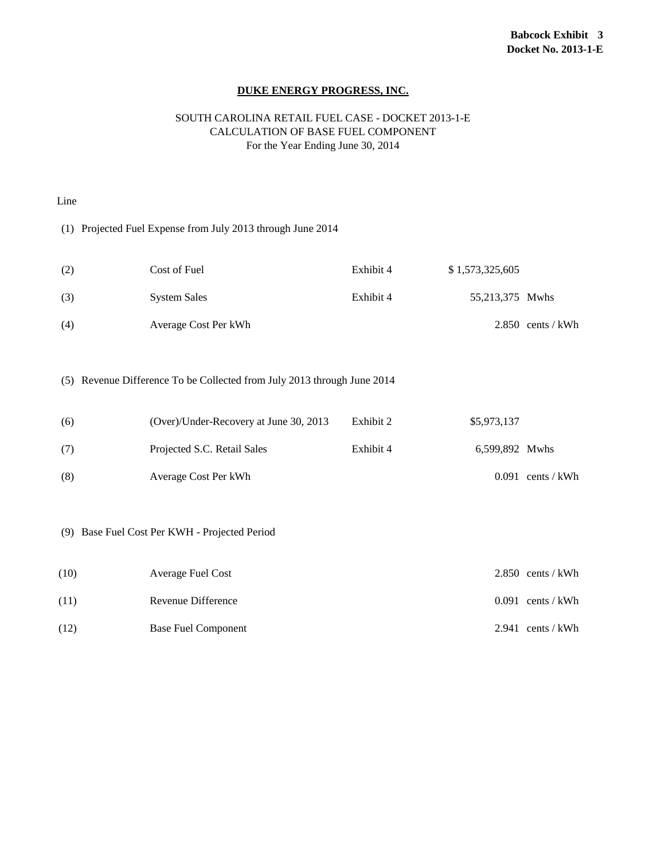#### SOUTH CAROLINA RETAIL FUEL CASE - DOCKET 2013-1-E CALCULATION OF BASE FUEL COMPONENT For the Year Ending June 30, 2014

| Line |                                                                         |           |                 |                     |
|------|-------------------------------------------------------------------------|-----------|-----------------|---------------------|
|      | (1) Projected Fuel Expense from July 2013 through June 2014             |           |                 |                     |
| (2)  | Cost of Fuel                                                            | Exhibit 4 | \$1,573,325,605 |                     |
| (3)  | <b>System Sales</b>                                                     | Exhibit 4 | 55,213,375 Mwhs |                     |
| (4)  | Average Cost Per kWh                                                    |           |                 | $2.850$ cents / kWh |
|      | (5) Revenue Difference To be Collected from July 2013 through June 2014 |           |                 |                     |
| (6)  | (Over)/Under-Recovery at June 30, 2013                                  | Exhibit 2 | \$5,973,137     |                     |
| (7)  | Projected S.C. Retail Sales                                             | Exhibit 4 | 6,599,892 Mwhs  |                     |
| (8)  | Average Cost Per kWh                                                    |           |                 | $0.091$ cents / kWh |
|      | (9) Base Fuel Cost Per KWH - Projected Period                           |           |                 |                     |
| (10) | <b>Average Fuel Cost</b>                                                |           |                 | $2.850$ cents / kWh |
| (11) | Revenue Difference                                                      |           |                 | $0.091$ cents / kWh |
| (12) | <b>Base Fuel Component</b>                                              |           |                 | $2.941$ cents / kWh |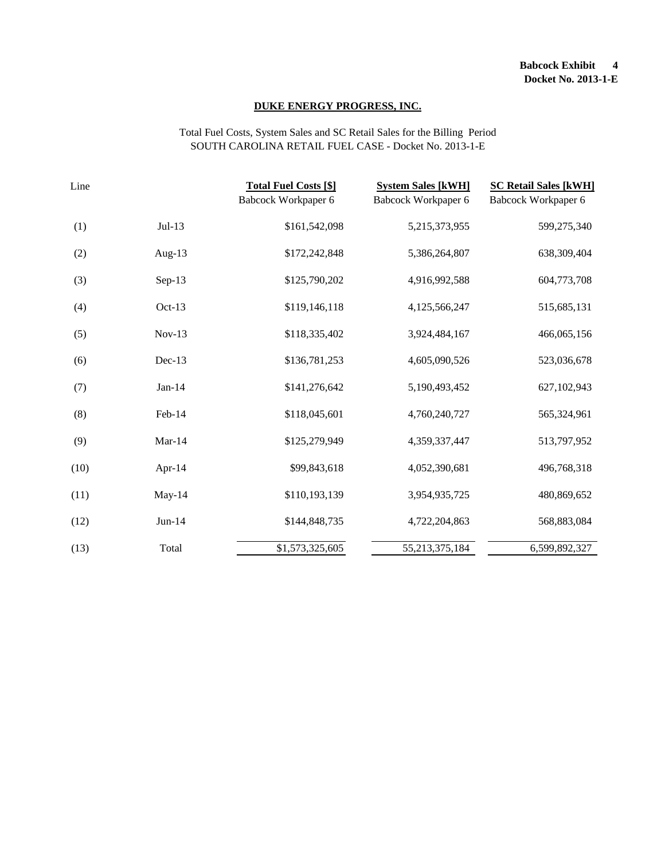#### Total Fuel Costs, System Sales and SC Retail Sales for the Billing Period SOUTH CAROLINA RETAIL FUEL CASE - Docket No. 2013-1-E

| Line |           | <b>Total Fuel Costs [\$]</b><br>Babcock Workpaper 6 | <b>System Sales [kWH]</b><br>Babcock Workpaper 6 | <b>SC Retail Sales [kWH]</b><br>Babcock Workpaper 6 |
|------|-----------|-----------------------------------------------------|--------------------------------------------------|-----------------------------------------------------|
| (1)  | $Jul-13$  | \$161,542,098                                       | 5,215,373,955                                    | 599,275,340                                         |
| (2)  | Aug- $13$ | \$172,242,848                                       | 5,386,264,807                                    | 638,309,404                                         |
| (3)  | $Sep-13$  | \$125,790,202                                       | 4,916,992,588                                    | 604,773,708                                         |
| (4)  | Oct-13    | \$119,146,118                                       | 4,125,566,247                                    | 515,685,131                                         |
| (5)  | $Nov-13$  | \$118,335,402                                       | 3,924,484,167                                    | 466,065,156                                         |
| (6)  | $Dec-13$  | \$136,781,253                                       | 4,605,090,526                                    | 523,036,678                                         |
| (7)  | $Jan-14$  | \$141,276,642                                       | 5,190,493,452                                    | 627,102,943                                         |
| (8)  | Feb-14    | \$118,045,601                                       | 4,760,240,727                                    | 565,324,961                                         |
| (9)  | $Mar-14$  | \$125,279,949                                       | 4,359,337,447                                    | 513,797,952                                         |
| (10) | Apr- $14$ | \$99,843,618                                        | 4,052,390,681                                    | 496,768,318                                         |
| (11) | May- $14$ | \$110,193,139                                       | 3,954,935,725                                    | 480,869,652                                         |
| (12) | $Jun-14$  | \$144,848,735                                       | 4,722,204,863                                    | 568,883,084                                         |
| (13) | Total     | \$1,573,325,605                                     | 55, 213, 375, 184                                | 6,599,892,327                                       |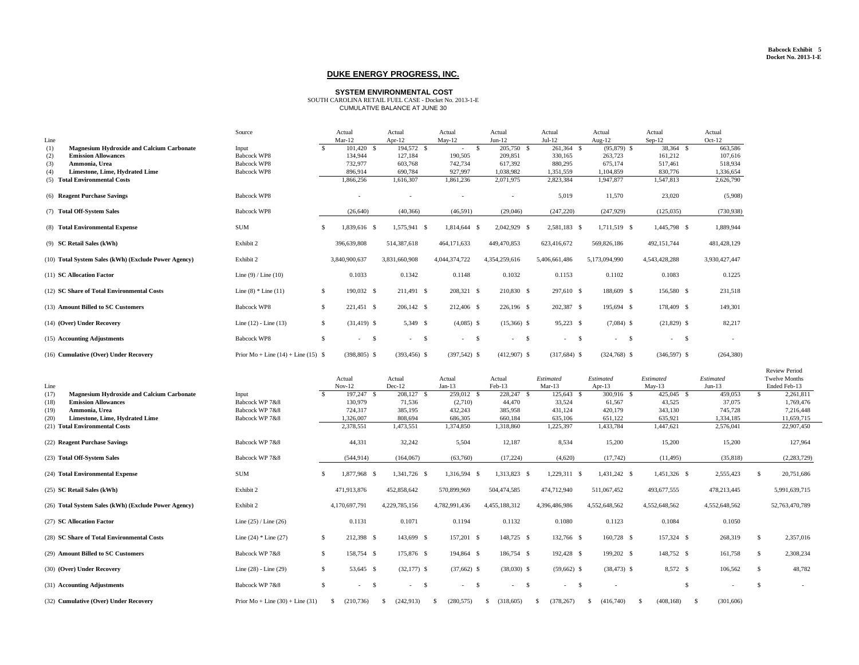|                                                         | Source                                  |               | Actual           | Actual                  | Actual                  | Actual                                    | Actual         | Actual               |               | Actual                  | Actual        |
|---------------------------------------------------------|-----------------------------------------|---------------|------------------|-------------------------|-------------------------|-------------------------------------------|----------------|----------------------|---------------|-------------------------|---------------|
| Line                                                    |                                         |               | $Mar-12$         | Apr- $12$               | $May-12$                | $Jun-12$                                  | $Jul-12$       | Aug- $12$            |               | $Sep-12$                | $Oct-12$      |
| <b>Magnesium Hydroxide and Calcium Carbonate</b><br>(1) | Input                                   | <sup>\$</sup> | 101,420 \$       | 194,572 \$              | $\mathcal{S}$<br>$\sim$ | 205,750 \$                                | 261,364 \$     | $(95,879)$ \$        |               | 38,364 \$               | 663,586       |
| <b>Emission Allowances</b><br>(2)                       | <b>Babcock WP8</b>                      |               | 134,944          | 127,184                 | 190,505                 | 209,851                                   | 330,165        | 263,723              |               | 161,212                 | 107,616       |
| Ammonia, Urea<br>(3)                                    | <b>Babcock WP8</b>                      |               | 732,977          | 603,768                 | 742,734                 | 617,392                                   | 880,295        | 675,174              |               | 517,461                 | 518,934       |
| Limestone, Lime, Hydrated Lime<br>(4)                   | <b>Babcock WP8</b>                      |               | 896,914          | 690,784                 | 927,997                 | 1,038,982                                 | 1,351,559      | 1,104,859            |               | 830,776                 | 1,336,654     |
| (5) Total Environmental Costs                           |                                         |               | 1,866,256        | 1,616,307               | 1,861,236               | 2,071,975                                 | 2,823,384      | 1,947,877            |               | 1,547,813               | 2,626,790     |
| (6) Reagent Purchase Savings                            | <b>Babcock WP8</b>                      |               |                  |                         |                         | $\overline{\phantom{a}}$                  | 5,019          | 11,570               |               | 23,020                  | (5,908)       |
| (7) Total Off-System Sales                              | <b>Babcock WP8</b>                      |               | (26, 640)        | (40,366)                | (46,591)                | (29,046)                                  | (247,220)      | (247, 929)           |               | (125,035)               | (730, 938)    |
| (8) Total Environmental Expense                         | <b>SUM</b>                              | <sup>\$</sup> | 1,839,616 \$     | 1,575,941 \$            | 1,814,644 \$            | 2,042,929 \$                              | 2,581,183 \$   | 1,711,519 \$         |               | 1,445,798 \$            | 1,889,944     |
| (9) SC Retail Sales (kWh)                               | Exhibit 2                               |               | 396,639,808      | 514,387,618             | 464,171,633             | 449,470,853                               | 623,416,672    | 569,826,186          |               | 492,151,744             | 481,428,129   |
| (10) Total System Sales (kWh) (Exclude Power Agency)    | Exhibit 2                               |               | 3,840,900,637    | 3,831,660,908           | 4,044,374,722           | 4,354,259,616                             | 5,406,661,486  | 5,173,094,990        |               | 4,543,428,288           | 3,930,427,447 |
| (11) SC Allocation Factor                               | Line $(9)$ / Line $(10)$                |               | 0.1033           | 0.1342                  | 0.1148                  | 0.1032                                    | 0.1153         | 0.1102               |               | 0.1083                  | 0.1225        |
| (12) SC Share of Total Environmental Costs              | Line $(8)$ * Line $(11)$                | $\mathcal{S}$ | 190,032 \$       | 211,491 \$              | 208,321 \$              | 210,830 \$                                | 297,610 \$     | 188,609 \$           |               | 156,580 \$              | 231,518       |
| (13) Amount Billed to SC Customers                      | <b>Babcock WP8</b>                      | $\mathcal{S}$ | 221,451 \$       | $206,142$ \$            | 212,406 \$              | 226,196 \$                                | 202,387 \$     | 195,694 \$           |               | 178,409 \$              | 149,301       |
| (14) (Over) Under Recovery                              | Line $(12)$ - Line $(13)$               | $\mathcal{S}$ | $(31, 419)$ \$   | 5,349 \$                | $(4,085)$ \$            | $(15,366)$ \$                             | 95,223 \$      | $(7,084)$ \$         |               | $(21,829)$ \$           | 82,217        |
| (15) Accounting Adjustments                             | <b>Babcock WP8</b>                      | $\mathcal{S}$ | \$<br>$\sim 100$ | $\mathcal{S}$<br>$\sim$ | \$<br>$\sim 10^{-10}$   | $\mathcal{S}$<br>$\overline{\phantom{a}}$ | $\sim 100$     | $\sqrt{3}$<br>$\sim$ | $\mathcal{S}$ | $\mathcal{S}$<br>$\sim$ | $\sim$        |
| (16) Cumulative (Over) Under Recovery                   | Prior Mo + Line $(14)$ + Line $(15)$ \$ |               | $(398,805)$ \$   | $(393, 456)$ \$         | $(397,542)$ \$          | $(412,907)$ \$                            | $(317,684)$ \$ | $(324,768)$ \$       |               | $(346,597)$ \$          | (264, 380)    |

| Line                                                     |                                    |               | Actual<br>$Nov-12$ | Actual<br>$Dec-12$      | Actual<br>$Jan-13$ | Actual<br>$Feb-13$      | <b>Estimated</b><br>$Mar-13$ | Estimated<br>Apr-13 | Estimated<br>May-13 | <b>Estimated</b><br>$Jun-13$ |               | <b>Review Period</b><br><b>Twelve Months</b><br>Ended Feb-13 |
|----------------------------------------------------------|------------------------------------|---------------|--------------------|-------------------------|--------------------|-------------------------|------------------------------|---------------------|---------------------|------------------------------|---------------|--------------------------------------------------------------|
| (17)<br><b>Magnesium Hydroxide and Calcium Carbonate</b> | Input                              | $\mathbb{S}$  | 197,247 \$         | 208,127 \$              | 259,012 \$         | 228,247 \$              | 125,643                      | 300,916 \$          | $425,045$ \$        | 459,053                      | $\mathbb{S}$  | 2,261,811                                                    |
| <b>Emission Allowances</b><br>(18)                       | Babcock WP 7&8                     |               | 130,979            | 71,536                  | (2,710)            | 44,470                  | 33,524                       | 61,567              | 43,525              | 37,075                       |               | 1,769,476                                                    |
| Ammonia, Urea<br>(19)                                    | Babcock WP 7&8                     |               | 724,317            | 385,195                 | 432,243            | 385,958                 | 431,124                      | 420,179             | 343,130             | 745,728                      |               | 7,216,448                                                    |
| (20)<br><b>Limestone, Lime, Hydrated Lime</b>            | Babcock WP 7&8                     |               | 1,326,007          | 808,694                 | 686,305            | 660,184                 | 635,106                      | 651,122             | 635,921             | 1,334,185                    |               | 11,659,715                                                   |
| (21) Total Environmental Costs                           |                                    |               | 2,378,551          | 1,473,551               | 1,374,850          | 1,318,860               | 1,225,397                    | 1,433,784           | 1,447,621           | 2,576,041                    |               | 22,907,450                                                   |
| (22) Reagent Purchase Savings                            | Babcock WP 7&8                     |               | 44,331             | 32,242                  | 5,504              | 12,187                  | 8,534                        | 15,200              | 15,200              | 15,200                       |               | 127,964                                                      |
| (23) Total Off-System Sales                              | Babcock WP 7&8                     |               | (544, 914)         | (164, 067)              | (63,760)           | (17,224)                | (4,620)                      | (17,742)            | (11, 495)           | (35, 818)                    |               | (2, 283, 729)                                                |
| (24) Total Environmental Expense                         | <b>SUM</b>                         | $\mathcal{S}$ | 1,877,968 \$       | 1,341,726 \$            | 1,316,594 \$       | 1,313,823 \$            | 1,229,311 \$                 | $1,431,242$ \$      | $1,451,326$ \$      | 2,555,423                    | - \$          | 20,751,686                                                   |
| (25) SC Retail Sales (kWh)                               | Exhibit 2                          |               | 471,913,876        | 452,858,642             | 570,899,969        | 504,474,585             | 474,712,940                  | 511,067,452         | 493,677,555         | 478,213,445                  |               | 5,991,639,715                                                |
| (26) Total System Sales (kWh) (Exclude Power Agency)     | Exhibit 2                          |               | 4,170,697,791      | 4,229,785,156           | 4,782,991,436      | 4,455,188,312           | 4,396,486,986                | 4,552,648,562       | 4,552,648,562       | 4,552,648,562                |               | 52,763,470,789                                               |
| (27) SC Allocation Factor                                | Line $(25)$ / Line $(26)$          |               | 0.1131             | 0.1071                  | 0.1194             | 0.1132                  | 0.1080                       | 0.1123              | 0.1084              | 0.1050                       |               |                                                              |
| (28) SC Share of Total Environmental Costs               | Line $(24)$ * Line $(27)$          | $\mathcal{S}$ | 212,398 \$         | 143,699 \$              | 157,201 \$         | 148,725 \$              | 132,766 \$                   | 160,728 \$          | 157,324 \$          | 268,319                      | $\mathcal{S}$ | 2,357,016                                                    |
| (29) Amount Billed to SC Customers                       | Babcock WP 7&8                     | $\mathcal{S}$ | 158,754 \$         | 175,876 \$              | 194,864 \$         | 186,754 \$              | 192,428 \$                   | 199,202 \$          | 148,752 \$          | 161,758                      | <b>S</b>      | 2,308,234                                                    |
| (30) (Over) Under Recovery                               | Line $(28)$ - Line $(29)$          | $\mathcal{S}$ | 53,645 \$          | $(32,177)$ \$           | $(37,662)$ \$      | $(38,030)$ \$           | $(59,662)$ \$                | $(38, 473)$ \$      | 8,572 \$            | 106,562                      | $\mathcal{S}$ | 48,782                                                       |
| (31) Accounting Adjustments                              | Babcock WP 7&8                     | $\mathbb{S}$  | \$<br>$\sim$       | $\mathcal{S}$<br>$\sim$ | \$<br>$\sim$ $-$   | $\mathcal{S}$<br>$\sim$ | $\mathcal{S}$<br>$\sim$      |                     | $\mathcal{S}$       | $\overline{\phantom{a}}$     | - \$          |                                                              |
| (32) Cumulative (Over) Under Recovery                    | Prior $Mo + Line (30) + Line (31)$ |               | (210, 736)         | (242, 913)<br>- 85      | (280, 575)<br>- 85 | (318,605)<br>-8         | (378, 267)<br>- 55           | (416,740)<br>SS.    | (408, 168)<br>- \$  | (301,606)                    |               |                                                              |

### **SYSTEM ENVIRONMENTAL COST**

SOUTH CAROLINA RETAIL FUEL CASE - Docket No. 2013-1-E CUMULATIVE BALANCE AT JUNE 30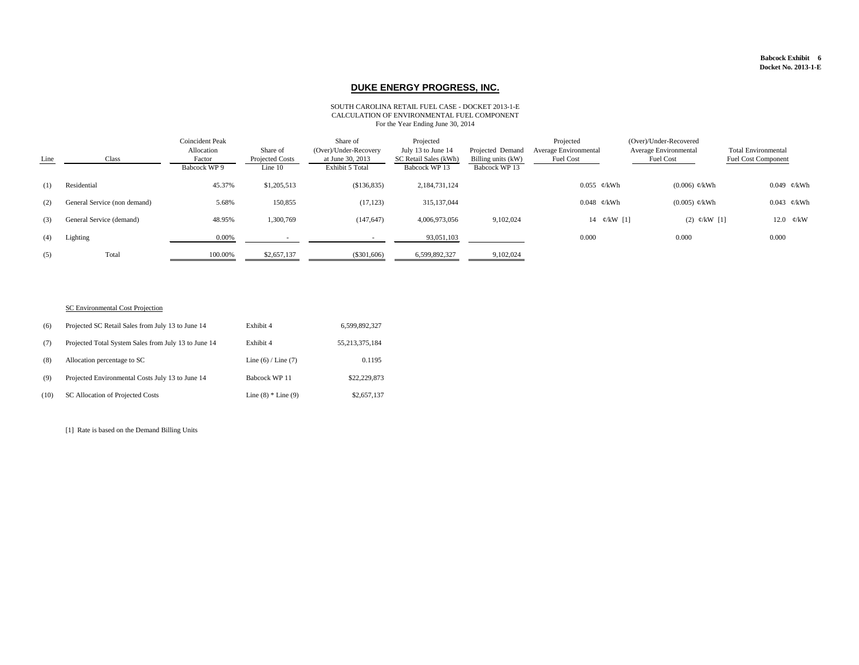#### **Babcock Exhibit 6 Docket No. 2013-1-E**

| Line | Class                        | <b>Coincident Peak</b><br>Allocation<br>Factor<br>Babcock WP 9 | Share of<br>Projected Costs<br>Line 10 | Share of<br>(Over)/Under-Recovery<br>at June 30, 2013<br><b>Exhibit 5 Total</b> | Projected<br>July 13 to June 14<br>SC Retail Sales (kWh)<br>Babcock WP 13 | Projected Demand<br>Billing units (kW)<br>Babcock WP 13 | Projected<br><b>Average Environmental</b><br>Fuel Cost | (Over)/Under-Recovered<br>Average Environmental<br><b>Fuel Cost</b> | <b>Total Environmental</b><br><b>Fuel Cost Component</b> |
|------|------------------------------|----------------------------------------------------------------|----------------------------------------|---------------------------------------------------------------------------------|---------------------------------------------------------------------------|---------------------------------------------------------|--------------------------------------------------------|---------------------------------------------------------------------|----------------------------------------------------------|
| (1)  | Residential                  | 45.37%                                                         | \$1,205,513                            | \$136,835                                                                       | 2,184,731,124                                                             |                                                         | $0.055 \; \mathcal{C}/kWh$                             | $(0.006) \; \mathcal{C}/kWh$                                        | 0.049 $\mathcal{C}/kWh$                                  |
| (2)  | General Service (non demand) | 5.68%                                                          | 150,855                                | (17, 123)                                                                       | 315, 137, 044                                                             |                                                         | $0.048$ ¢/kWh                                          | $(0.005)$ ¢/kWh                                                     | 0.043 $\phi$ /kWh                                        |
| (3)  | General Service (demand)     | 48.95%                                                         | 1,300,769                              | (147, 647)                                                                      | 4,006,973,056                                                             | 9,102,024                                               | 14 $\phi$ /kW [1]                                      | (2) $\mathcal{C}/kW$ [1]                                            | 12.0 $\mathcal{C}/kW$                                    |
| (4)  | Lighting                     | 0.00%                                                          |                                        |                                                                                 | 93,051,103                                                                |                                                         | 0.000                                                  | 0.000                                                               | 0.000                                                    |
| (5)  | Total                        | 100.00%                                                        | \$2,657,137                            | $(\$301,606)$                                                                   | 6,599,892,327                                                             | 9,102,024                                               |                                                        |                                                                     |                                                          |

### SC Environmental Cost Projection

| (6)  | Projected SC Retail Sales from July 13 to June 14    | Exhibit 4               | 6,599,892,327     |
|------|------------------------------------------------------|-------------------------|-------------------|
| (7)  | Projected Total System Sales from July 13 to June 14 | Exhibit 4               | 55, 213, 375, 184 |
| (8)  | Allocation percentage to SC                          | Line $(6)$ / Line $(7)$ | 0.1195            |
| (9)  | Projected Environmental Costs July 13 to June 14     | Babcock WP 11           | \$22,229,873      |
| (10) | SC Allocation of Projected Costs                     | Line $(8)$ * Line $(9)$ | \$2,657,137       |

[1] Rate is based on the Demand Billing Units

# **DUKE ENERGY PROGRESS, INC.**

#### SOUTH CAROLINA RETAIL FUEL CASE - DOCKET 2013-1-E CALCULATION OF ENVIRONMENTAL FUEL COMPONENT For the Year Ending June 30, 2014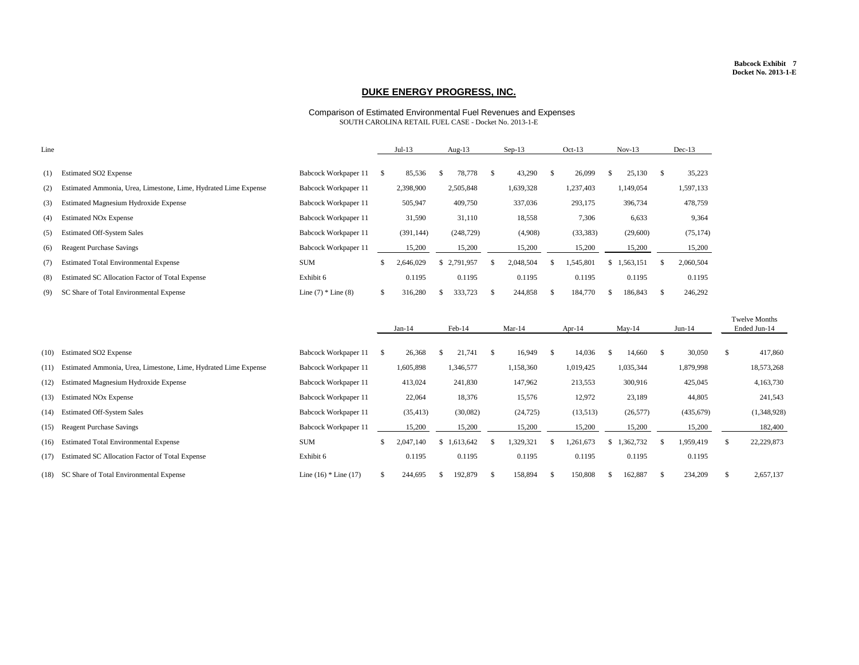#### **Babcock Exhibit 7 Docket No. 2013-1-E**

| Line |                                                                 |                             |              | $Jul-13$   |              | Aug- $13$   |               | $Sep-13$  |               | $Oct-13$  |               | $Nov-13$  |              | $Dec-13$  |
|------|-----------------------------------------------------------------|-----------------------------|--------------|------------|--------------|-------------|---------------|-----------|---------------|-----------|---------------|-----------|--------------|-----------|
| (1)  | <b>Estimated SO2 Expense</b>                                    | <b>Babcock Workpaper 11</b> |              | 85,536     |              | 78,778      | \$            | 43,290    | $\mathcal{S}$ | 26,099    | $\mathcal{S}$ | 25,130    |              | 35,223    |
| (2)  | Estimated Ammonia, Urea, Limestone, Lime, Hydrated Lime Expense | Babcock Workpaper 11        |              | 2,398,900  |              | 2,505,848   |               | 1,639,328 |               | 1,237,403 |               | 1,149,054 |              | 1,597,133 |
| (3)  | <b>Estimated Magnesium Hydroxide Expense</b>                    | <b>Babcock Workpaper 11</b> |              | 505,947    |              | 409,750     |               | 337,036   |               | 293,175   |               | 396,734   |              | 478,759   |
| (4)  | <b>Estimated NO<sub>x</sub></b> Expense                         | <b>Babcock Workpaper 11</b> |              | 31,590     |              | 31,110      |               | 18,558    |               | 7,306     |               | 6,633     |              | 9,364     |
| (5)  | <b>Estimated Off-System Sales</b>                               | Babcock Workpaper 11        |              | (391, 144) |              | (248, 729)  |               | (4,908)   |               | (33, 383) |               | (29,600)  |              | (75, 174) |
| (6)  | <b>Reagent Purchase Savings</b>                                 | <b>Babcock Workpaper 11</b> |              | 15,200     |              | 15,200      |               | 15,200    |               | 15,200    |               | 15,200    |              | 15,200    |
| (7)  | <b>Estimated Total Environmental Expense</b>                    | <b>SUM</b>                  |              | 2,646,029  |              | \$2,791,957 |               | 2,048,504 | Ж             | 1,545,801 | $\mathcal{S}$ | 1,563,151 |              | 2,060,504 |
| (8)  | Estimated SC Allocation Factor of Total Expense                 | Exhibit 6                   |              | 0.1195     |              | 0.1195      |               | 0.1195    |               | 0.1195    |               | 0.1195    |              | 0.1195    |
| (9)  | SC Share of Total Environmental Expense                         | Line $(7)$ * Line $(8)$     | $\mathbb{S}$ | 316,280    | <sup>S</sup> | 333,723     | $\mathcal{S}$ | 244,858   | $\mathbb{S}$  | 184,770   | $\mathbb{S}$  | 186,843   | $\mathbb{S}$ | 246,292   |
|      |                                                                 |                             |              |            |              |             |               |           |               |           |               |           |              |           |

|      |                                                                 |                           |               | Jan-14    | $Feb-14$    |    | Mar-14<br>Apr-14 |   |           | May-14 |             | $Jun-14$ |           | <b>Twelve Months</b><br>Ended Jun-14 |              |
|------|-----------------------------------------------------------------|---------------------------|---------------|-----------|-------------|----|------------------|---|-----------|--------|-------------|----------|-----------|--------------------------------------|--------------|
| (10) | <b>Estimated SO2 Expense</b>                                    | Babcock Workpaper 11      | $\mathcal{S}$ | 26,368    | 21,741      | Ъ. | 16,949           | S | 14,036    | -S     | 14,660      |          | 30,050    |                                      | 417,860      |
| (11) | Estimated Ammonia, Urea, Limestone, Lime, Hydrated Lime Expense | Babcock Workpaper 11      |               | 1,605,898 | 1,346,577   |    | 1,158,360        |   | 1,019,425 |        | 1,035,344   |          | 1,879,998 |                                      | 18,573,268   |
| (12) | <b>Estimated Magnesium Hydroxide Expense</b>                    | Babcock Workpaper 11      |               | 413,024   | 241,830     |    | 147,962          |   | 213,553   |        | 300,916     |          | 425,045   |                                      | 4,163,730    |
| (13) | <b>Estimated NOx Expense</b>                                    | Babcock Workpaper 11      |               | 22,064    | 18,376      |    | 15,576           |   | 12,972    |        | 23,189      |          | 44,805    |                                      | 241,543      |
| (14) | <b>Estimated Off-System Sales</b>                               | Babcock Workpaper 11      |               | (35, 413) | (30,082)    |    | (24, 725)        |   | (13,513)  |        | (26, 577)   |          | (435,679) |                                      | (1,348,928)  |
| (15) | <b>Reagent Purchase Savings</b>                                 | Babcock Workpaper 11      |               | 15,200    | 15,200      |    | 15,200           |   | 15,200    |        | 15,200      |          | 15,200    |                                      | 182,400      |
| (16) | <b>Estimated Total Environmental Expense</b>                    | <b>SUM</b>                |               | 2,047,140 | \$1,613,642 |    | 1,329,321        |   | ,261,673  |        | \$1,362,732 |          | 1,959,419 |                                      | 22, 229, 873 |
| (17) | <b>Estimated SC Allocation Factor of Total Expense</b>          | Exhibit 6                 |               | 0.1195    | 0.1195      |    | 0.1195           |   | 0.1195    |        | 0.1195      |          | 0.1195    |                                      |              |
| (18) | SC Share of Total Environmental Expense                         | Line $(16)$ * Line $(17)$ |               | 244,695   | 192,879     | S. | 158,894          |   | 150,808   |        | 162,887     |          | 234,209   |                                      | 2,657,137    |

# **DUKE ENERGY PROGRESS, INC.**

Comparison of Estimated Environmental Fuel Revenues and Expenses SOUTH CAROLINA RETAIL FUEL CASE - Docket No. 2013-1-E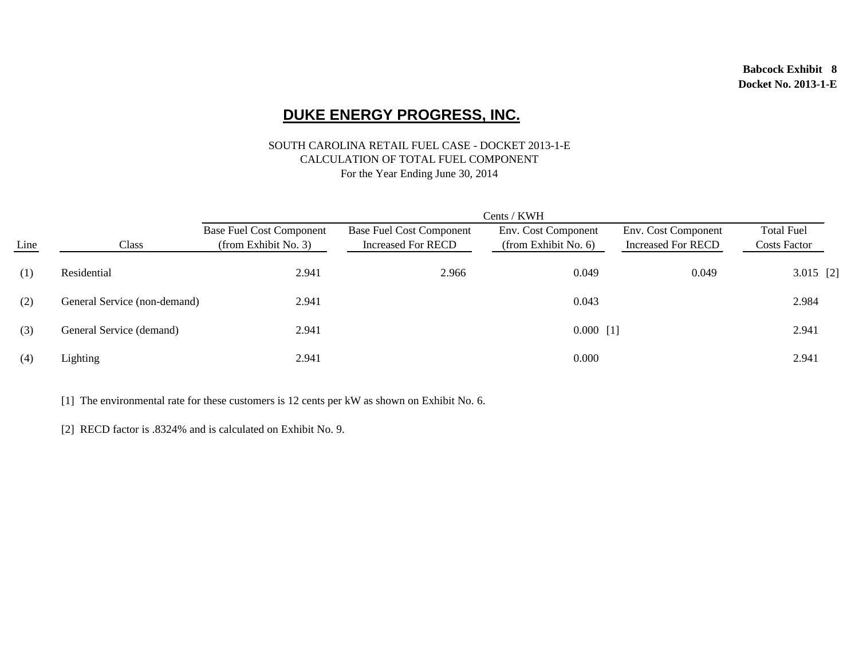#### SOUTH CAROLINA RETAIL FUEL CASE - DOCKET 2013-1-E CALCULATION OF TOTAL FUEL COMPONENT For the Year Ending June 30, 2014

|      | Cents / KWH                  |                                                         |                                                              |                                             |                                                  |                                          |  |  |  |  |  |  |  |
|------|------------------------------|---------------------------------------------------------|--------------------------------------------------------------|---------------------------------------------|--------------------------------------------------|------------------------------------------|--|--|--|--|--|--|--|
| Line | <b>Class</b>                 | <b>Base Fuel Cost Component</b><br>(from Exhibit No. 3) | <b>Base Fuel Cost Component</b><br><b>Increased For RECD</b> | Env. Cost Component<br>(from Exhibit No. 6) | Env. Cost Component<br><b>Increased For RECD</b> | <b>Total Fuel</b><br><b>Costs Factor</b> |  |  |  |  |  |  |  |
| (1)  | Residential                  | 2.941                                                   | 2.966                                                        | 0.049                                       | 0.049                                            | $3.015$ [2]                              |  |  |  |  |  |  |  |
| (2)  | General Service (non-demand) | 2.941                                                   |                                                              | 0.043                                       |                                                  | 2.984                                    |  |  |  |  |  |  |  |
| (3)  | General Service (demand)     | 2.941                                                   |                                                              | $0.000$ [1]                                 |                                                  | 2.941                                    |  |  |  |  |  |  |  |
| (4)  | Lighting                     | 2.941                                                   |                                                              | 0.000                                       |                                                  | 2.941                                    |  |  |  |  |  |  |  |

[1] The environmental rate for these customers is 12 cents per kW as shown on Exhibit No. 6.

[2] RECD factor is .8324% and is calculated on Exhibit No. 9.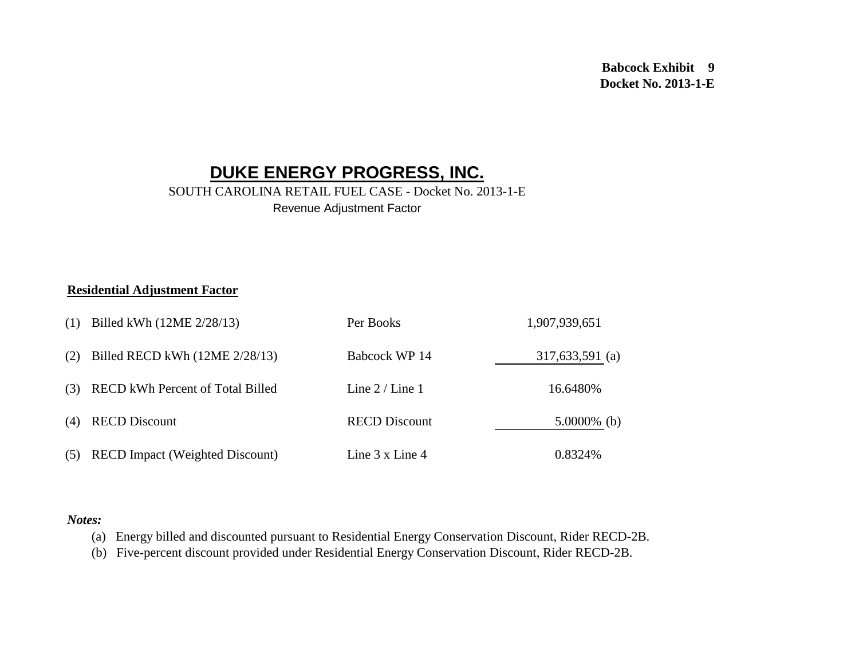#### SOUTH CAROLINA RETAIL FUEL CASE - Docket No. 2013-1-E Revenue Adjustment Factor

#### **Residential Adjustment Factor**

| (1) | Billed kWh (12ME 2/28/13)              | Per Books                | 1,907,939,651   |
|-----|----------------------------------------|--------------------------|-----------------|
| (2) | Billed RECD kWh (12ME 2/28/13)         | Babcock WP 14            | 317,633,591 (a) |
| (3) | RECD kWh Percent of Total Billed       | Line $2 /$ Line 1        | 16.6480%        |
| (4) | <b>RECD Discount</b>                   | <b>RECD Discount</b>     | $5.0000\%$ (b)  |
| (5) | <b>RECD</b> Impact (Weighted Discount) | Line $3 \times$ Line $4$ | 0.8324\%        |

#### *Notes:*

(a) Energy billed and discounted pursuant to Residential Energy Conservation Discount, Rider RECD-2B.

(b) Five-percent discount provided under Residential Energy Conservation Discount, Rider RECD-2B.